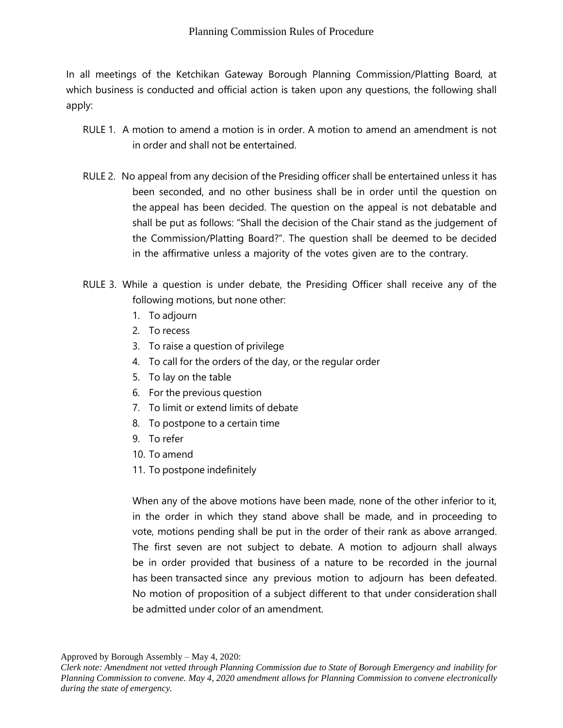In all meetings of the Ketchikan Gateway Borough Planning Commission/Platting Board, at which business is conducted and official action is taken upon any questions, the following shall apply:

- RULE 1. A motion to amend a motion is in order. A motion to amend an amendment is not in order and shall not be entertained.
- RULE 2. No appeal from any decision of the Presiding officer shall be entertained unless it has been seconded, and no other business shall be in order until the question on the appeal has been decided. The question on the appeal is not debatable and shall be put as follows: "Shall the decision of the Chair stand as the judgement of the Commission/Platting Board?". The question shall be deemed to be decided in the affirmative unless a majority of the votes given are to the contrary.
- RULE 3. While a question is under debate, the Presiding Officer shall receive any of the following motions, but none other:
	- 1. To adjourn
	- 2. To recess
	- 3. To raise a question of privilege
	- 4. To call for the orders of the day, or the regular order
	- 5. To lay on the table
	- 6. For the previous question
	- 7. To limit or extend limits of debate
	- 8. To postpone to a certain time
	- 9. To refer
	- 10. To amend
	- 11. To postpone indefinitely

When any of the above motions have been made, none of the other inferior to it, in the order in which they stand above shall be made, and in proceeding to vote, motions pending shall be put in the order of their rank as above arranged. The first seven are not subject to debate. A motion to adjourn shall always be in order provided that business of a nature to be recorded in the journal has been transacted since any previous motion to adjourn has been defeated. No motion of proposition of a subject different to that under consideration shall be admitted under color of an amendment.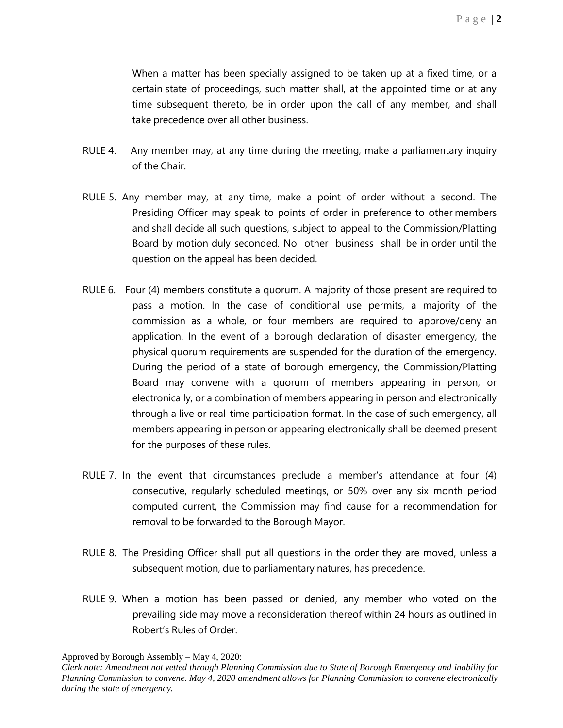When a matter has been specially assigned to be taken up at a fixed time, or a certain state of proceedings, such matter shall, at the appointed time or at any time subsequent thereto, be in order upon the call of any member, and shall take precedence over all other business.

- RULE 4. Any member may, at any time during the meeting, make a parliamentary inquiry of the Chair.
- RULE 5. Any member may, at any time, make a point of order without a second. The Presiding Officer may speak to points of order in preference to other members and shall decide all such questions, subject to appeal to the Commission/Platting Board by motion duly seconded. No other business shall be in order until the question on the appeal has been decided.
- RULE 6. Four (4) members constitute a quorum. A majority of those present are required to pass a motion. In the case of conditional use permits, a majority of the commission as a whole, or four members are required to approve/deny an application. In the event of a borough declaration of disaster emergency, the physical quorum requirements are suspended for the duration of the emergency. During the period of a state of borough emergency, the Commission/Platting Board may convene with a quorum of members appearing in person, or electronically, or a combination of members appearing in person and electronically through a live or real-time participation format. In the case of such emergency, all members appearing in person or appearing electronically shall be deemed present for the purposes of these rules.
- RULE 7. In the event that circumstances preclude a member's attendance at four (4) consecutive, regularly scheduled meetings, or 50% over any six month period computed current, the Commission may find cause for a recommendation for removal to be forwarded to the Borough Mayor.
- RULE 8. The Presiding Officer shall put all questions in the order they are moved, unless a subsequent motion, due to parliamentary natures, has precedence.
- RULE 9. When a motion has been passed or denied, any member who voted on the prevailing side may move a reconsideration thereof within 24 hours as outlined in Robert's Rules of Order.

Approved by Borough Assembly – May 4, 2020:

*Clerk note: Amendment not vetted through Planning Commission due to State of Borough Emergency and inability for Planning Commission to convene. May 4, 2020 amendment allows for Planning Commission to convene electronically during the state of emergency.*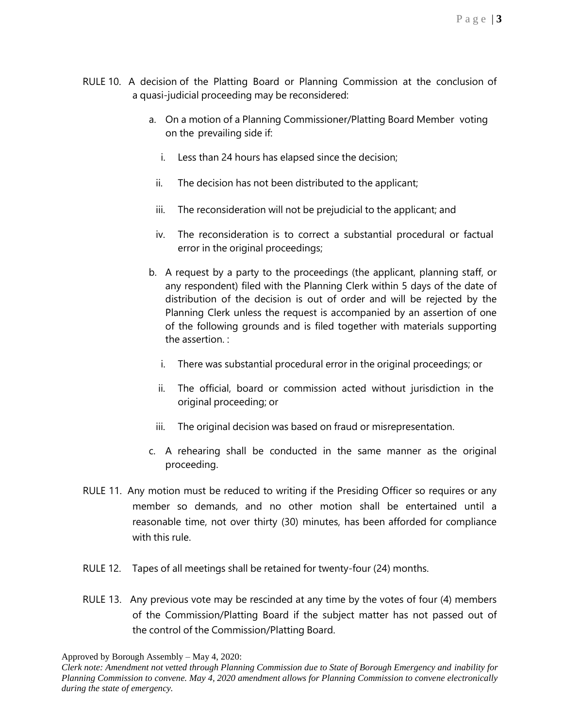- RULE 10. A decision of the Platting Board or Planning Commission at the conclusion of a quasi-judicial proceeding may be reconsidered:
	- a. On a motion of a Planning Commissioner/Platting Board Member voting on the prevailing side if:
		- i. Less than 24 hours has elapsed since the decision;
		- ii. The decision has not been distributed to the applicant;
		- iii. The reconsideration will not be prejudicial to the applicant; and
		- iv. The reconsideration is to correct a substantial procedural or factual error in the original proceedings;
	- b. A request by a party to the proceedings (the applicant, planning staff, or any respondent) filed with the Planning Clerk within 5 days of the date of distribution of the decision is out of order and will be rejected by the Planning Clerk unless the request is accompanied by an assertion of one of the following grounds and is filed together with materials supporting the assertion. :
		- i. There was substantial procedural error in the original proceedings; or
		- ii. The official, board or commission acted without jurisdiction in the original proceeding; or
		- iii. The original decision was based on fraud or misrepresentation.
	- c. A rehearing shall be conducted in the same manner as the original proceeding.
- RULE 11. Any motion must be reduced to writing if the Presiding Officer so requires or any member so demands, and no other motion shall be entertained until a reasonable time, not over thirty (30) minutes, has been afforded for compliance with this rule.
- RULE 12. Tapes of all meetings shall be retained for twenty-four (24) months.
- RULE 13. Any previous vote may be rescinded at any time by the votes of four (4) members of the Commission/Platting Board if the subject matter has not passed out of the control of the Commission/Platting Board.

Approved by Borough Assembly – May 4, 2020:

*Clerk note: Amendment not vetted through Planning Commission due to State of Borough Emergency and inability for Planning Commission to convene. May 4, 2020 amendment allows for Planning Commission to convene electronically during the state of emergency.*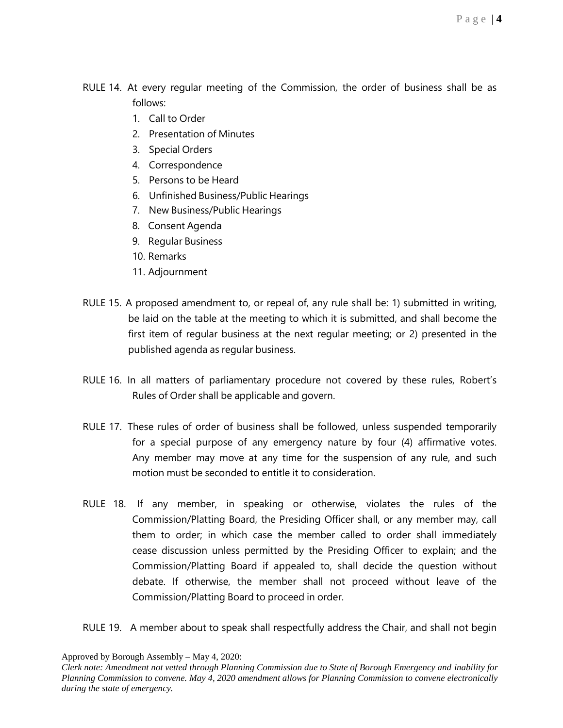- RULE 14. At every regular meeting of the Commission, the order of business shall be as follows:
	- 1. Call to Order
	- 2. Presentation of Minutes
	- 3. Special Orders
	- 4. Correspondence
	- 5. Persons to be Heard
	- 6. Unfinished Business/Public Hearings
	- 7. New Business/Public Hearings
	- 8. Consent Agenda
	- 9. Regular Business
	- 10. Remarks
	- 11. Adjournment
- RULE 15. A proposed amendment to, or repeal of, any rule shall be: 1) submitted in writing, be laid on the table at the meeting to which it is submitted, and shall become the first item of regular business at the next regular meeting; or 2) presented in the published agenda as regular business.
- RULE 16. In all matters of parliamentary procedure not covered by these rules, Robert's Rules of Order shall be applicable and govern.
- RULE 17. These rules of order of business shall be followed, unless suspended temporarily for a special purpose of any emergency nature by four (4) affirmative votes. Any member may move at any time for the suspension of any rule, and such motion must be seconded to entitle it to consideration.
- RULE 18. If any member, in speaking or otherwise, violates the rules of the Commission/Platting Board, the Presiding Officer shall, or any member may, call them to order; in which case the member called to order shall immediately cease discussion unless permitted by the Presiding Officer to explain; and the Commission/Platting Board if appealed to, shall decide the question without debate. If otherwise, the member shall not proceed without leave of the Commission/Platting Board to proceed in order.
- RULE 19. A member about to speak shall respectfully address the Chair, and shall not begin

*Clerk note: Amendment not vetted through Planning Commission due to State of Borough Emergency and inability for Planning Commission to convene. May 4, 2020 amendment allows for Planning Commission to convene electronically during the state of emergency.*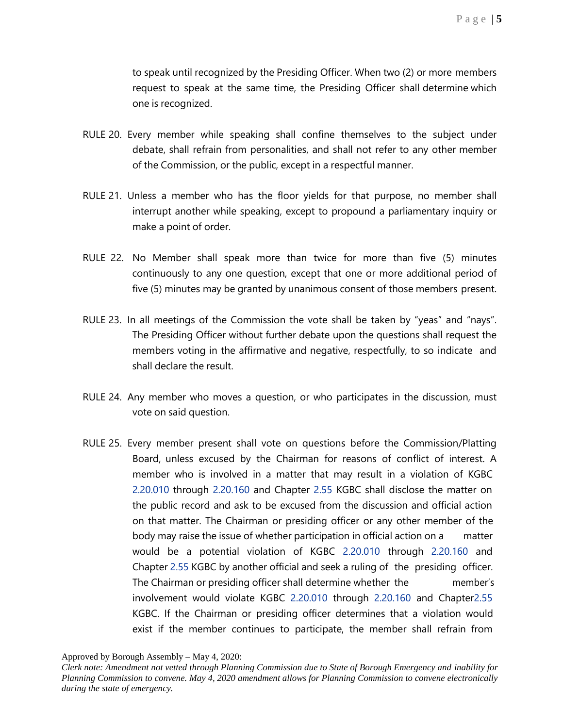to speak until recognized by the Presiding Officer. When two (2) or more members request to speak at the same time, the Presiding Officer shall determine which one is recognized.

- RULE 20. Every member while speaking shall confine themselves to the subject under debate, shall refrain from personalities, and shall not refer to any other member of the Commission, or the public, except in a respectful manner.
- RULE 21. Unless a member who has the floor yields for that purpose, no member shall interrupt another while speaking, except to propound a parliamentary inquiry or make a point of order.
- RULE 22. No Member shall speak more than twice for more than five (5) minutes continuously to any one question, except that one or more additional period of five (5) minutes may be granted by unanimous consent of those members present.
- RULE 23. In all meetings of the Commission the vote shall be taken by "yeas" and "nays". The Presiding Officer without further debate upon the questions shall request the members voting in the affirmative and negative, respectfully, to so indicate and shall declare the result.
- RULE 24. Any member who moves a question, or who participates in the discussion, must vote on said question.
- RULE 25. Every member present shall vote on questions before the Commission/Platting Board, unless excused by the Chairman for reasons of conflict of interest. A member who is involved in a matter that may result in a violation of KGBC 2.20.010 through 2.20.160 and Chapter 2.55 KGBC shall disclose the matter on the public record and ask to be excused from the discussion and official action on that matter. The Chairman or presiding officer or any other member of the body may raise the issue of whether participation in official action on a matter would be a potential violation of KGBC 2.20.010 through 2.20.160 and Chapter 2.55 KGBC by another official and seek a ruling of the presiding officer. The Chairman or presiding officer shall determine whether the member's involvement would violate KGBC 2.20.010 through 2.20.160 and Chapter2.55 KGBC. If the Chairman or presiding officer determines that a violation would exist if the member continues to participate, the member shall refrain from

*Clerk note: Amendment not vetted through Planning Commission due to State of Borough Emergency and inability for Planning Commission to convene. May 4, 2020 amendment allows for Planning Commission to convene electronically during the state of emergency.*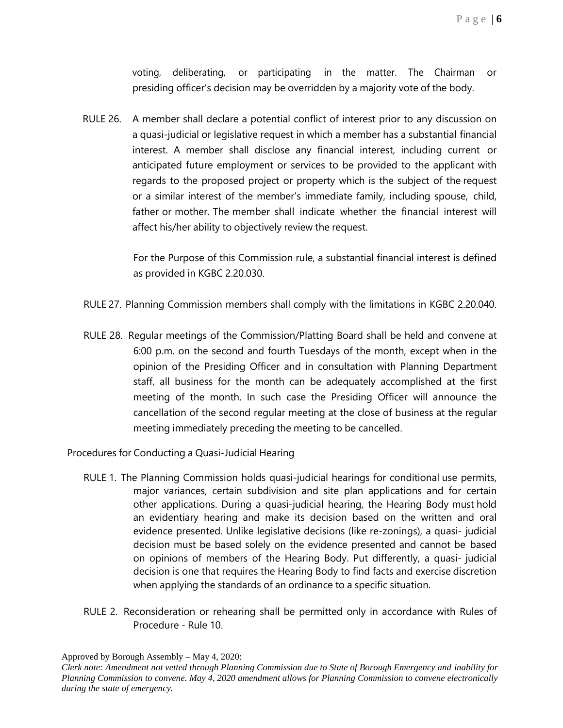voting, deliberating, or participating in the matter. The Chairman or presiding officer's decision may be overridden by a majority vote of the body.

RULE 26. A member shall declare a potential conflict of interest prior to any discussion on a quasi-judicial or legislative request in which a member has a substantial financial interest. A member shall disclose any financial interest, including current or anticipated future employment or services to be provided to the applicant with regards to the proposed project or property which is the subject of the request or a similar interest of the member's immediate family, including spouse, child, father or mother. The member shall indicate whether the financial interest will affect his/her ability to objectively review the request.

> For the Purpose of this Commission rule, a substantial financial interest is defined as provided in KGBC 2.20.030.

- RULE 27. Planning Commission members shall comply with the limitations in KGBC 2.20.040.
- RULE 28. Regular meetings of the Commission/Platting Board shall be held and convene at 6:00 p.m. on the second and fourth Tuesdays of the month, except when in the opinion of the Presiding Officer and in consultation with Planning Department staff, all business for the month can be adequately accomplished at the first meeting of the month. In such case the Presiding Officer will announce the cancellation of the second regular meeting at the close of business at the regular meeting immediately preceding the meeting to be cancelled.

Procedures for Conducting a Quasi-Judicial Hearing

- RULE 1. The Planning Commission holds quasi-judicial hearings for conditional use permits, major variances, certain subdivision and site plan applications and for certain other applications. During a quasi-judicial hearing, the Hearing Body must hold an evidentiary hearing and make its decision based on the written and oral evidence presented. Unlike legislative decisions (like re-zonings), a quasi- judicial decision must be based solely on the evidence presented and cannot be based on opinions of members of the Hearing Body. Put differently, a quasi- judicial decision is one that requires the Hearing Body to find facts and exercise discretion when applying the standards of an ordinance to a specific situation.
- RULE 2. Reconsideration or rehearing shall be permitted only in accordance with Rules of Procedure - Rule 10.

Approved by Borough Assembly – May 4, 2020:

*Clerk note: Amendment not vetted through Planning Commission due to State of Borough Emergency and inability for Planning Commission to convene. May 4, 2020 amendment allows for Planning Commission to convene electronically during the state of emergency.*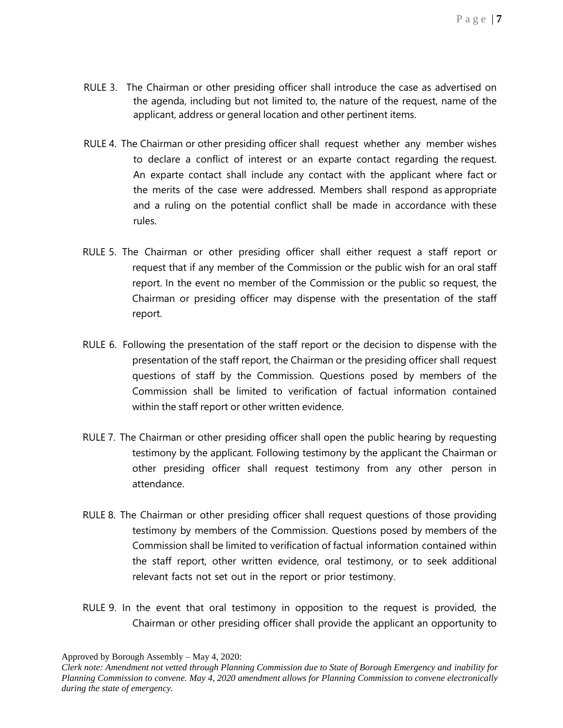- RULE 3. The Chairman or other presiding officer shall introduce the case as advertised on the agenda, including but not limited to, the nature of the request, name of the applicant, address or general location and other pertinent items.
- RULE 4. The Chairman or other presiding officer shall request whether any member wishes to declare a conflict of interest or an exparte contact regarding the request. An exparte contact shall include any contact with the applicant where fact or the merits of the case were addressed. Members shall respond as appropriate and a ruling on the potential conflict shall be made in accordance with these rules.
- RULE 5. The Chairman or other presiding officer shall either request a staff report or request that if any member of the Commission or the public wish for an oral staff report. In the event no member of the Commission or the public so request, the Chairman or presiding officer may dispense with the presentation of the staff report.
- RULE 6. Following the presentation of the staff report or the decision to dispense with the presentation of the staff report, the Chairman or the presiding officer shall request questions of staff by the Commission. Questions posed by members of the Commission shall be limited to verification of factual information contained within the staff report or other written evidence.
- RULE 7. The Chairman or other presiding officer shall open the public hearing by requesting testimony by the applicant. Following testimony by the applicant the Chairman or other presiding officer shall request testimony from any other person in attendance.
- RULE 8. The Chairman or other presiding officer shall request questions of those providing testimony by members of the Commission. Questions posed by members of the Commission shall be limited to verification of factual information contained within the staff report, other written evidence, oral testimony, or to seek additional relevant facts not set out in the report or prior testimony.
- RULE 9. In the event that oral testimony in opposition to the request is provided, the Chairman or other presiding officer shall provide the applicant an opportunity to

*Clerk note: Amendment not vetted through Planning Commission due to State of Borough Emergency and inability for Planning Commission to convene. May 4, 2020 amendment allows for Planning Commission to convene electronically during the state of emergency.*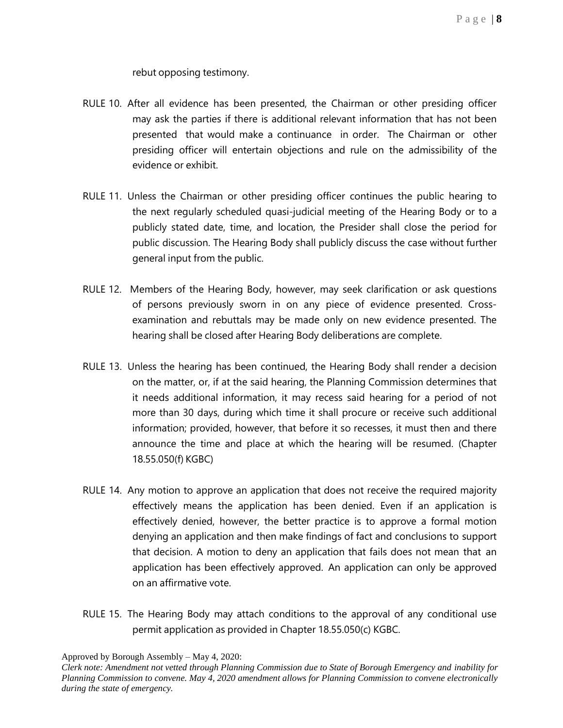rebut opposing testimony.

- RULE 10. After all evidence has been presented, the Chairman or other presiding officer may ask the parties if there is additional relevant information that has not been presented that would make a continuance in order. The Chairman or other presiding officer will entertain objections and rule on the admissibility of the evidence or exhibit.
- RULE 11. Unless the Chairman or other presiding officer continues the public hearing to the next regularly scheduled quasi-judicial meeting of the Hearing Body or to a publicly stated date, time, and location, the Presider shall close the period for public discussion. The Hearing Body shall publicly discuss the case without further general input from the public.
- RULE 12. Members of the Hearing Body, however, may seek clarification or ask questions of persons previously sworn in on any piece of evidence presented. Crossexamination and rebuttals may be made only on new evidence presented. The hearing shall be closed after Hearing Body deliberations are complete.
- RULE 13. Unless the hearing has been continued, the Hearing Body shall render a decision on the matter, or, if at the said hearing, the Planning Commission determines that it needs additional information, it may recess said hearing for a period of not more than 30 days, during which time it shall procure or receive such additional information; provided, however, that before it so recesses, it must then and there announce the time and place at which the hearing will be resumed. (Chapter 18.55.050(f) KGBC)
- RULE 14. Any motion to approve an application that does not receive the required majority effectively means the application has been denied. Even if an application is effectively denied, however, the better practice is to approve a formal motion denying an application and then make findings of fact and conclusions to support that decision. A motion to deny an application that fails does not mean that an application has been effectively approved. An application can only be approved on an affirmative vote.
- RULE 15. The Hearing Body may attach conditions to the approval of any conditional use permit application as provided in Chapter 18.55.050(c) KGBC.

*Clerk note: Amendment not vetted through Planning Commission due to State of Borough Emergency and inability for Planning Commission to convene. May 4, 2020 amendment allows for Planning Commission to convene electronically during the state of emergency.*